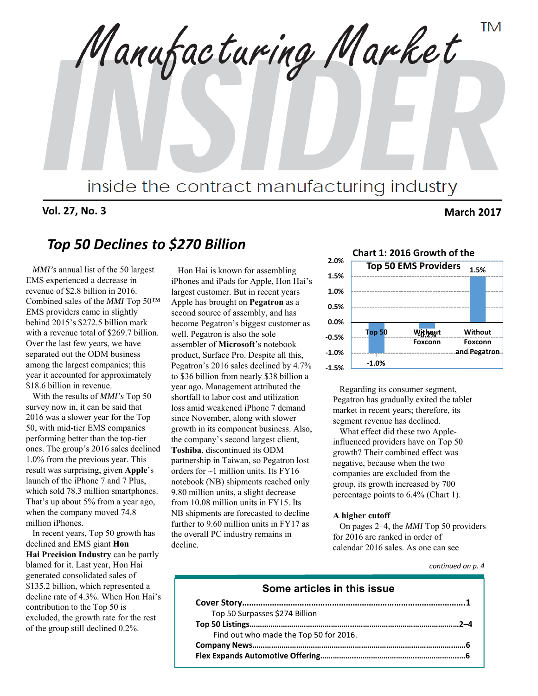**TM** Manufacturing Market inside the contract manufacturing industry

**Vol. 27, No. 3 March 2017**

# *Top 50 Declines to \$270 Billion*

*MMI's* annual list of the 50 largest EMS experienced a decrease in revenue of \$2.8 billion in 2016. Combined sales of the *MMI* Top 50™ EMS providers came in slightly behind 2015's \$272.5 billion mark with a revenue total of \$269.7 billion. Over the last few years, we have separated out the ODM business among the largest companies; this year it accounted for approximately \$18.6 billion in revenue.

With the results of *MMI's* Top 50 survey now in, it can be said that 2016 was a slower year for the Top 50, with mid-tier EMS companies performing better than the top-tier ones. The group's 2016 sales declined 1.0% from the previous year. This result was surprising, given **Apple**'s launch of the iPhone 7 and 7 Plus, which sold 78.3 million smartphones. That's up about 5% from a year ago, when the company moved 74.8 million iPhones.

In recent years, Top 50 growth has declined and EMS giant **Hon Hai Precision Industry** can be partly blamed for it. Last year, Hon Hai generated consolidated sales of \$135.2 billion, which represented a decline rate of 4.3%. When Hon Hai's contribution to the Top 50 is excluded, the growth rate for the rest of the group still declined 0.2%.

Hon Hai is known for assembling iPhones and iPads for Apple, Hon Hai's largest customer. But in recent years Apple has brought on **Pegatron** as a second source of assembly, and has become Pegatron's biggest customer as well. Pegatron is also the sole assembler of **Microsoft**'s notebook product, Surface Pro. Despite all this, Pegatron's 2016 sales declined by 4.7% to \$36 billion from nearly \$38 billion a year ago. Management attributed the shortfall to labor cost and utilization loss amid weakened iPhone 7 demand since November, along with slower growth in its component business. Also, the company's second largest client, **Toshiba**, discontinued its ODM partnership in Taiwan, so Pegatron lost orders for ~1 million units. Its FY16 notebook (NB) shipments reached only 9.80 million units, a slight decrease from 10.08 million units in FY15. Its NB shipments are forecasted to decline further to 9.60 million units in FY17 as the overall PC industry remains in decline.



Regarding its consumer segment, Pegatron has gradually exited the tablet market in recent years; therefore, its segment revenue has declined.

What effect did these two Appleinfluenced providers have on Top 50 growth? Their combined effect was negative, because when the two companies are excluded from the group, its growth increased by 700 percentage points to 6.4% (Chart 1).

#### **A higher cutoff**

On pages 2–4, the *MMI* Top 50 providers for 2016 are ranked in order of calendar 2016 sales. As one can see

#### *continued on p. 4*

#### **Some articles in this issue**

| Top 50 Surpasses \$274 Billion         |  |
|----------------------------------------|--|
|                                        |  |
| Find out who made the Top 50 for 2016. |  |
|                                        |  |
|                                        |  |
|                                        |  |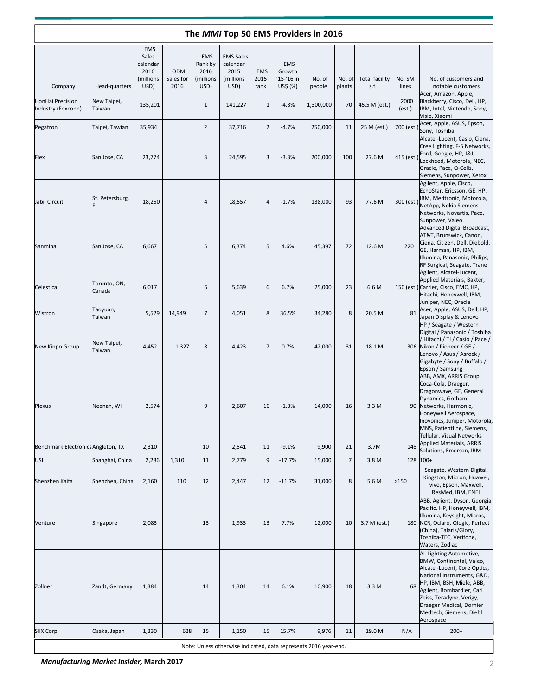|                                        |                        |                                                              |                                 |                                                    |                                                            |                            |                                                | The MMI Top 50 EMS Providers in 2016                             |                  |                               |                  |                                                                                                                                                                                                                                                                             |
|----------------------------------------|------------------------|--------------------------------------------------------------|---------------------------------|----------------------------------------------------|------------------------------------------------------------|----------------------------|------------------------------------------------|------------------------------------------------------------------|------------------|-------------------------------|------------------|-----------------------------------------------------------------------------------------------------------------------------------------------------------------------------------------------------------------------------------------------------------------------------|
| Company                                | Head-quarters          | <b>EMS</b><br>Sales<br>calendar<br>2016<br>(millions<br>USD) | <b>ODM</b><br>Sales for<br>2016 | <b>EMS</b><br>Rank by<br>2016<br>(millions<br>USD) | <b>EMS Sales</b><br>calendar<br>2015<br>(millions)<br>USD) | <b>EMS</b><br>2015<br>rank | <b>EMS</b><br>Growth<br>'15-'16 in<br>US\$ (%) | No. of<br>people                                                 | No. of<br>plants | <b>Total facility</b><br>s.f. | No. SMT<br>lines | No. of customers and<br>notable customers                                                                                                                                                                                                                                   |
| HonHai Precision<br>Industry (Foxconn) | New Taipei,<br>Taiwan  | 135,201                                                      |                                 | $\mathbf{1}$                                       | 141,227                                                    | $\mathbf{1}$               | $-4.3%$                                        | 1,300,000                                                        | 70               | 45.5 M (est.)                 | 2000<br>(est.)   | Acer, Amazon, Apple,<br>Blackberry, Cisco, Dell, HP,<br>IBM, Intel, Nintendo, Sony,<br>Visio, Xiaomi                                                                                                                                                                        |
| Pegatron                               | Taipei, Tawian         | 35,934                                                       |                                 | $\overline{2}$                                     | 37,716                                                     | $\overline{2}$             | $-4.7%$                                        | 250,000                                                          | 11               | 25 M (est.)                   | 700 (est.)       | Acer, Apple, ASUS, Epson,<br>Sony, Toshiba                                                                                                                                                                                                                                  |
| Flex                                   | San Jose, CA           | 23,774                                                       |                                 | 3                                                  | 24,595                                                     | 3                          | $-3.3%$                                        | 200,000                                                          | 100              | 27.6 M                        | 415 (est.)       | Alcatel-Lucent, Casio, Ciena,<br>Cree Lighting, F-5 Networks,<br>Ford, Google, HP, J&J,<br>Lockheed, Motorola, NEC,<br>Oracle, Pace, Q-Cells,<br>Siemens, Sunpower, Xerox                                                                                                   |
| Jabil Circuit                          | St. Petersburg,<br>FL  | 18,250                                                       |                                 | 4                                                  | 18,557                                                     | 4                          | $-1.7%$                                        | 138,000                                                          | 93               | 77.6 M                        | 300 (est.)       | Agilent, Apple, Cisco,<br>EchoStar, Ericsson, GE, HP,<br>IBM, Medtronic, Motorola,<br>NetApp, Nokia Siemens<br>Networks, Novartis, Pace,<br>Sunpower, Valeo                                                                                                                 |
| Sanmina                                | San Jose, CA           | 6,667                                                        |                                 | 5                                                  | 6,374                                                      | 5                          | 4.6%                                           | 45,397                                                           | 72               | 12.6 M                        | 220              | Advanced Digital Broadcast,<br>AT&T, Brunswick, Canon,<br>Ciena, Citizen, Dell, Diebold,<br>GE, Harman, HP, IBM,<br>Illumina, Panasonic, Philips,<br>RF Surgical, Seagate, Trane                                                                                            |
| Celestica                              | Toronto, ON,<br>Canada | 6,017                                                        |                                 | 6                                                  | 5,639                                                      | 6                          | 6.7%                                           | 25,000                                                           | 23               | 6.6 M                         |                  | Agilent, Alcatel-Lucent,<br>Applied Materials, Baxter,<br>150 (est.) Carrier, Cisco, EMC, HP,<br>Hitachi, Honeywell, IBM,<br>Juniper, NEC, Oracle                                                                                                                           |
| Wistron                                | Taoyuan,<br>Taiwan     | 5,529                                                        | 14,949                          | $\overline{7}$                                     | 4,051                                                      | 8                          | 36.5%                                          | 34,280                                                           | 8                | 20.5 M                        | 81               | Acer, Apple, ASUS, Dell, HP,<br>Japan Display & Lenovo                                                                                                                                                                                                                      |
| New Kinpo Group                        | New Taipei,<br>Taiwan  | 4,452                                                        | 1,327                           | 8                                                  | 4,423                                                      | $\overline{7}$             | 0.7%                                           | 42,000                                                           | 31               | 18.1 M                        | 306              | HP / Seagate / Western<br>Digital / Panasonic / Toshiba<br>/ Hitachi / TI / Casio / Pace /<br>Nikon / Pioneer / GE /<br>Lenovo / Asus / Asrock /<br>Gigabyte / Sony / Buffalo /<br>Epson / Samsung                                                                          |
| Plexus                                 | Neenah, WI             | 2,574                                                        |                                 | 9                                                  | 2,607                                                      | 10                         | $-1.3%$                                        | 14,000                                                           | 16               | 3.3 M                         | 90               | ABB, AMX, ARRIS Group,<br>Coca-Cola, Draeger,<br>Dragonwave, GE, General<br>Dynamics, Gotham<br>Networks, Harmonic,<br>Honeywell Aerospace,<br>Inovonics, Juniper, Motorola,<br>MNS, Patientline, Siemens,<br>Tellular, Visual Networks                                     |
| Benchmark Electronics Angleton, TX     |                        | 2,310                                                        |                                 | 10                                                 | 2,541                                                      | 11                         | $-9.1%$                                        | 9,900                                                            | 21               | 3.7M                          | 148              | <b>Applied Materials, ARRIS</b><br>Solutions, Emerson, IBM                                                                                                                                                                                                                  |
| USI                                    | Shanghai, China        | 2,286                                                        | 1,310                           | 11                                                 | 2,779                                                      | 9                          | $-17.7%$                                       | 15,000                                                           | $\overline{7}$   | 3.8 M                         | 128              | $100+$                                                                                                                                                                                                                                                                      |
| Shenzhen Kaifa                         | Shenzhen, China        | 2,160                                                        | 110                             | 12                                                 | 2,447                                                      | 12                         | $-11.7%$                                       | 31,000                                                           | 8                | 5.6 M                         | >150             | Seagate, Western Digital,<br>Kingston, Micron, Huawei,<br>vivo, Epson, Maxwell,<br>ResMed, IBM, ENEL                                                                                                                                                                        |
| Venture                                | Singapore              | 2,083                                                        |                                 | 13                                                 | 1,933                                                      | 13                         | 7.7%                                           | 12,000                                                           | 10               | 3.7 M (est.)                  | 180              | ABB, Aglient, Dyson, Georgia<br>Pacific, HP, Honeywell, IBM,<br>Illumina, Keysight, Micros,<br>NCR, Oclaro, Qlogic, Perfect<br>(China), Talaris/Glory,<br>Toshiba-TEC, Verifone,<br>Waters, Zodiac                                                                          |
| Zollner                                | Zandt, Germany         | 1,384                                                        |                                 | 14                                                 | 1,304                                                      | 14                         | 6.1%                                           | 10,900                                                           | 18               | 3.3 M                         | 68               | AL Lighting Automotive,<br>BMW, Continental, Valeo,<br>Alcatel-Lucent, Core Optics,<br>National Instruments, G&D,<br>HP, IBM, BSH, Miele, ABB,<br>Agilent, Bombardier, Carl<br>Zeiss, Teradyne, Verigy,<br>Draeger Medical, Dornier<br>Medtech, Siemens, Diehl<br>Aerospace |
| SIIX Corp.                             | Osaka, Japan           | 1,330                                                        | 628                             | 15                                                 | 1,150                                                      | 15                         | 15.7%                                          | 9,976                                                            | 11               | 19.0 M                        | N/A              | $200+$                                                                                                                                                                                                                                                                      |
|                                        |                        |                                                              |                                 |                                                    |                                                            |                            |                                                | Note: Unless otherwise indicated, data represents 2016 year-end. |                  |                               |                  |                                                                                                                                                                                                                                                                             |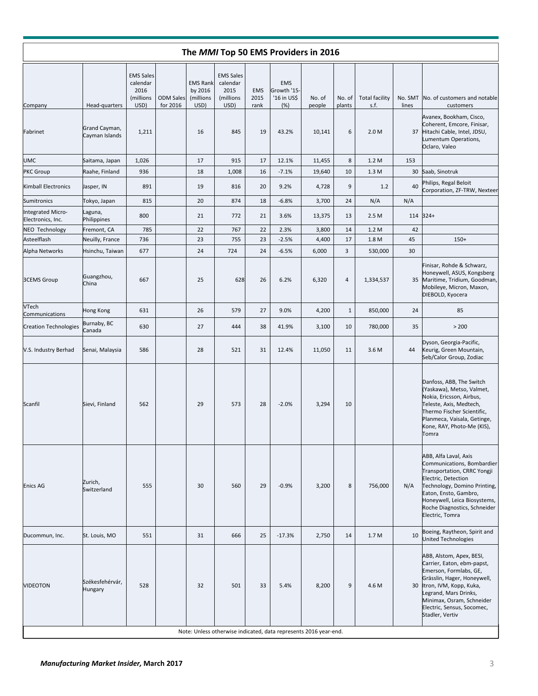|                                        |                                 |                                                           |                              |                                                 |                                                           |                            |                                                 | The MMI Top 50 EMS Providers in 2016                             |                  |                               |                  |                                                                                                                                                                                                                                                       |
|----------------------------------------|---------------------------------|-----------------------------------------------------------|------------------------------|-------------------------------------------------|-----------------------------------------------------------|----------------------------|-------------------------------------------------|------------------------------------------------------------------|------------------|-------------------------------|------------------|-------------------------------------------------------------------------------------------------------------------------------------------------------------------------------------------------------------------------------------------------------|
| Company                                | Head-quarters                   | <b>EMS Sales</b><br>calendar<br>2016<br>(millions<br>USD) | <b>ODM Sales</b><br>for 2016 | <b>EMS Rank</b><br>by 2016<br>(millions<br>USD) | <b>EMS Sales</b><br>calendar<br>2015<br>(millions<br>USD) | <b>EMS</b><br>2015<br>rank | <b>EMS</b><br>Growth '15-<br>'16 in US\$<br>(%) | No. of<br>people                                                 | No. of<br>plants | <b>Total facility</b><br>s.f. | No. SMT<br>lines | No. of customers and notable<br>customers                                                                                                                                                                                                             |
| Fabrinet                               | Grand Cayman,<br>Cayman Islands | 1,211                                                     |                              | 16                                              | 845                                                       | 19                         | 43.2%                                           | 10,141                                                           | 6                | 2.0 <sub>M</sub>              | 37               | Avanex, Bookham, Cisco,<br>Coherent, Emcore, Finisar,<br>Hitachi Cable, Intel, JDSU,<br>Lumentum Operations,<br>Oclaro, Valeo                                                                                                                         |
| <b>UMC</b>                             | Saitama, Japan                  | 1,026                                                     |                              | 17                                              | 915                                                       | 17                         | 12.1%                                           | 11,455                                                           | 8                | 1.2M                          | 153              |                                                                                                                                                                                                                                                       |
| <b>PKC</b> Group                       | Raahe, Finland                  | 936                                                       |                              | 18                                              | 1,008                                                     | 16                         | $-7.1%$                                         | 19,640                                                           | 10               | 1.3 M                         | 30               | Saab, Sinotruk                                                                                                                                                                                                                                        |
| Kimball Electronics                    | Jasper, IN                      | 891                                                       |                              | 19                                              | 816                                                       | 20                         | 9.2%                                            | 4,728                                                            | 9                | 1.2                           | 40               | Philips, Regal Beloit<br>Corporation, ZF-TRW, Nexteer                                                                                                                                                                                                 |
| Sumitronics                            | Tokyo, Japan                    | 815                                                       |                              | 20                                              | 874                                                       | 18                         | $-6.8%$                                         | 3,700                                                            | 24               | N/A                           | N/A              |                                                                                                                                                                                                                                                       |
| Integrated Micro-<br>Electronics, Inc. | Laguna,<br>Philippines          | 800                                                       |                              | 21                                              | 772                                                       | 21                         | 3.6%                                            | 13,375                                                           | 13               | 2.5 M                         |                  | 114 324+                                                                                                                                                                                                                                              |
| NEO Technology                         | Fremont, CA                     | 785                                                       |                              | 22                                              | 767                                                       | 22                         | 2.3%                                            | 3,800                                                            | 14               | 1.2 M                         | 42               |                                                                                                                                                                                                                                                       |
| Asteelflash                            | Neuilly, France                 | 736                                                       |                              | 23                                              | 755                                                       | 23                         | $-2.5%$                                         | 4,400                                                            | 17               | 1.8 M                         | 45               | $150+$                                                                                                                                                                                                                                                |
| Alpha Networks                         | Hsinchu, Taiwan                 | 677                                                       |                              | 24                                              | 724                                                       | 24                         | $-6.5%$                                         | 6,000                                                            | 3                | 530,000                       | 30               |                                                                                                                                                                                                                                                       |
| <b>3CEMS Group</b>                     | Guangzhou,<br>China             | 667                                                       |                              | 25                                              | 628                                                       | 26                         | 6.2%                                            | 6,320                                                            | 4                | 1,334,537                     |                  | Finisar, Rohde & Schwarz,<br>Honeywell, ASUS, Kongsberg<br>35 Maritime, Tridium, Goodman,<br>Mobileye, Micron, Maxon,<br>DIEBOLD, Kyocera                                                                                                             |
| VTech<br>Communications                | Hong Kong                       | 631                                                       |                              | 26                                              | 579                                                       | 27                         | 9.0%                                            | 4,200                                                            | $\mathbf{1}$     | 850,000                       | 24               | 85                                                                                                                                                                                                                                                    |
| <b>Creation Technologies</b>           | Burnaby, BC<br>Canada           | 630                                                       |                              | 27                                              | 444                                                       | 38                         | 41.9%                                           | 3,100                                                            | 10               | 780,000                       | 35               | > 200                                                                                                                                                                                                                                                 |
| V.S. Industry Berhad                   | Senai, Malaysia                 | 586                                                       |                              | 28                                              | 521                                                       | 31                         | 12.4%                                           | 11,050                                                           | 11               | 3.6 M                         | 44               | Dyson, Georgia-Pacific,<br>Keurig, Green Mountain,<br>Seb/Calor Group, Zodiac                                                                                                                                                                         |
| Scanfil                                | Sievi, Finland                  | 562                                                       |                              | 29                                              | 573                                                       | 28                         | $-2.0%$                                         | 3,294                                                            | 10               |                               |                  | Danfoss, ABB, The Switch<br>(Yaskawa), Metso, Valmet,<br>Nokia, Ericsson, Airbus,<br>Teleste, Axis, Medtech,<br>Thermo Fischer Scientific,<br>Planmeca, Vaisala, Getinge,<br>Kone, RAY, Photo-Me (KIS),<br>Tomra                                      |
| Enics AG                               | Zurich,<br>Switzerland          | 555                                                       |                              | 30                                              | 560                                                       | 29                         | $-0.9%$                                         | 3,200                                                            | 8                | 756,000                       | N/A              | ABB, Alfa Laval, Axis<br>Communications, Bombardier<br>Transportation, CRRC Yongji<br>Electric, Detection<br>Technology, Domino Printing,<br>Eaton, Ensto, Gambro,<br>Honeywell, Leica Biosystems,<br>Roche Diagnostics, Schneider<br>Electric, Tomra |
| Ducommun, Inc.                         | St. Louis, MO                   | 551                                                       |                              | 31                                              | 666                                                       | 25                         | $-17.3%$                                        | 2,750                                                            | 14               | 1.7 <sub>M</sub>              | 10               | Boeing, Raytheon, Spirit and<br>United Technologies                                                                                                                                                                                                   |
| <b>VIDEOTON</b>                        | Székesfehérvár,<br>Hungary      | 528                                                       |                              | 32                                              | 501                                                       | 33                         | 5.4%                                            | 8,200                                                            | 9                | 4.6 M                         | 30               | ABB, Alstom, Apex, BESI,<br>Carrier, Eaton, ebm-papst,<br>Emerson, Formlabs, GE,<br>Grässlin, Hager, Honeywell,<br>Itron, IVM, Kopp, Kuka,<br>Legrand, Mars Drinks,<br>Minimax, Osram, Schneider<br>Electric, Sensus, Socomec,<br>Stadler, Vertiv     |
|                                        |                                 |                                                           |                              |                                                 |                                                           |                            |                                                 | Note: Unless otherwise indicated, data represents 2016 year-end. |                  |                               |                  |                                                                                                                                                                                                                                                       |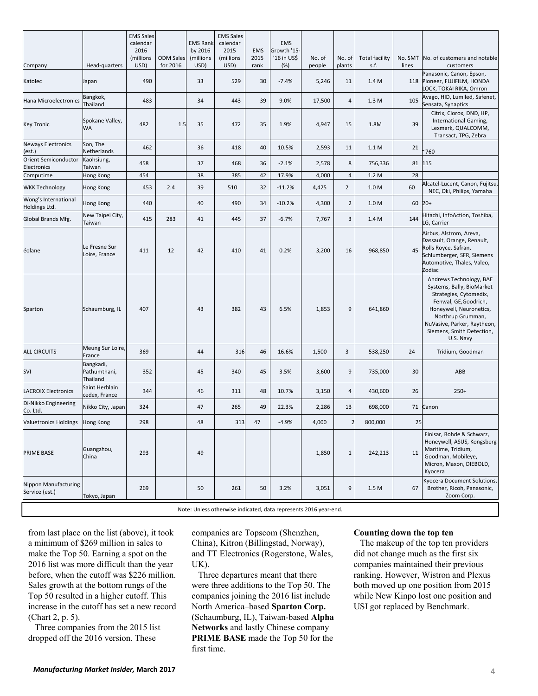| Company<br>Katolec                     | Head-quarters<br>Japan<br>Bangkok,    | USD)<br>490 | for 2016 | USD) | (millions<br>USD) | 2015<br>rank | Growth '15-<br>'16 in US\$<br>(%) | No. of<br>people | No. of<br>plants         | <b>Total facility</b><br>s.f. | lines | No. SMT  No. of customers and notable<br>customers                                                                                                                                                                               |
|----------------------------------------|---------------------------------------|-------------|----------|------|-------------------|--------------|-----------------------------------|------------------|--------------------------|-------------------------------|-------|----------------------------------------------------------------------------------------------------------------------------------------------------------------------------------------------------------------------------------|
|                                        |                                       |             |          | 33   | 529               | 30           | $-7.4%$                           | 5,246            | 11                       | 1.4 M                         |       | Panasonic, Canon, Epson,<br>118 Pioneer, FUJIFILM, HONDA<br>LOCK, TOKAI RIKA, Omron                                                                                                                                              |
| Hana Microelectronics                  | Thailand                              | 483         |          | 34   | 443               | 39           | 9.0%                              | 17,500           | 4                        | 1.3M                          | 105   | Avago, HID, Lumiled, Safenet,<br>Sensata, Synaptics                                                                                                                                                                              |
| <b>Key Tronic</b>                      | Spokane Valley,<br>WА                 | 482         | 1.5      | 35   | 472               | 35           | 1.9%                              | 4,947            | 15                       | 1.8M                          | 39    | Citrix, Clorox, DND, HP,<br>International Gaming,<br>Lexmark, QUALCOMM,<br>Transact, TPG, Zebra                                                                                                                                  |
| Neways Electronics<br>(est.)           | Son, The<br>Netherlands               | 462         |          | 36   | 418               | 40           | 10.5%                             | 2,593            | 11                       | 1.1 M                         | 21    | $^{\backsim}760$                                                                                                                                                                                                                 |
| Orient Semiconductor<br>Electronics    | Kaohsiung,<br>Taiwan                  | 458         |          | 37   | 468               | 36           | $-2.1%$                           | 2,578            | 8                        | 756,336                       | 81    | 115                                                                                                                                                                                                                              |
| Computime                              | Hong Kong                             | 454         |          | 38   | 385               | 42           | 17.9%                             | 4,000            | $\overline{4}$           | 1.2 M                         | 28    |                                                                                                                                                                                                                                  |
| <b>WKK Technology</b>                  | Hong Kong                             | 453         | 2.4      | 39   | 510               | 32           | $-11.2%$                          | 4,425            | $\overline{2}$           | 1.0 M                         | 60    | Alcatel-Lucent, Canon, Fujitsu,<br>NEC, Oki, Philips, Yamaha                                                                                                                                                                     |
| Wong's International<br>Holdings Ltd.  | Hong Kong                             | 440         |          | 40   | 490               | 34           | $-10.2%$                          | 4,300            | $\overline{2}$           | 1.0 M                         | 60    | $20+$                                                                                                                                                                                                                            |
| Global Brands Mfg.                     | New Taipei City,<br>Taiwan            | 415         | 283      | 41   | 445               | 37           | $-6.7%$                           | 7,767            | 3                        | 1.4 M                         | 144   | Hitachi, InfoAction, Toshiba,<br>LG, Carrier                                                                                                                                                                                     |
| éolane                                 | Le Fresne Sur<br>Loire, France        | 411         | 12       | 42   | 410               | 41           | 0.2%                              | 3,200            | 16                       | 968,850                       | 45    | Airbus, Alstrom, Areva,<br>Dassault, Orange, Renault,<br>Rolls Royce, Safran,<br>Schlumberger, SFR, Siemens<br>Automotive, Thales, Valeo,<br>Zodiac                                                                              |
| Sparton                                | Schaumburg, IL                        | 407         |          | 43   | 382               | 43           | 6.5%                              | 1,853            | 9                        | 641,860                       |       | Andrews Technology, BAE<br>Systems, Bally, BioMarket<br>Strategies, Cytomedix,<br>Fenwal, GE, Goodrich,<br>Honeywell, Neuronetics,<br>Northrup Grumman,<br>NuVasive, Parker, Raytheon,<br>Siemens, Smith Detection,<br>U.S. Navy |
| <b>ALL CIRCUITS</b>                    | Meung Sur Loire,<br>France            | 369         |          | 44   | 316               | 46           | 16.6%                             | 1,500            | 3                        | 538,250                       | 24    | Tridium, Goodman                                                                                                                                                                                                                 |
| SVI                                    | Bangkadi,<br>Pathumthani,<br>Thailand | 352         |          | 45   | 340               | 45           | 3.5%                              | 3,600            | 9                        | 735,000                       | 30    | ABB                                                                                                                                                                                                                              |
| <b>LACROIX Electronics</b>             | Saint Herblain<br>cedex, France       | 344         |          | 46   | 311               | 48           | 10.7%                             | 3,150            | 4                        | 430,600                       | 26    | $250+$                                                                                                                                                                                                                           |
| Di-Nikko Engineering<br>Co. Ltd.       | Nikko City, Japan                     | 324         |          | 47   | 265               | 49           | 22.3%                             | 2,286            | 13                       | 698,000                       | 71    | Canon                                                                                                                                                                                                                            |
| Valuetronics Holdings Hong Kong        |                                       | 298         |          | 48   | 313               | 47           | $-4.9%$                           | 4,000            | $\overline{\phantom{a}}$ | 800,000                       | 25    |                                                                                                                                                                                                                                  |
| <b>PRIME BASE</b>                      | Guangzhou,<br>China                   | 293         |          | 49   |                   |              |                                   | 1,850            | $\mathbf{1}$             | 242,213                       | 11    | Finisar, Rohde & Schwarz,<br>Honeywell, ASUS, Kongsberg<br>Maritime, Tridium,<br>Goodman, Mobileye,<br>Micron, Maxon, DIEBOLD,<br>Kyocera                                                                                        |
| Nippon Manufacturing<br>Service (est.) | Tokyo, Japan                          | 269         |          | 50   | 261               | 50           | 3.2%                              | 3,051            | 9                        | 1.5 M                         | 67    | Kyocera Document Solutions,<br>Brother, Ricoh, Panasonic,<br>Zoom Corp.                                                                                                                                                          |

Note: Unless otherwise indicated, data represents 2016 year‐end.

from last place on the list (above), it took a minimum of \$269 million in sales to make the Top 50. Earning a spot on the 2016 list was more difficult than the year before, when the cutoff was \$226 million. Sales growth at the bottom rungs of the Top 50 resulted in a higher cutoff. This increase in the cutoff has set a new record (Chart 2, p. 5).

Three companies from the 2015 list dropped off the 2016 version. These

companies are Topscom (Shenzhen, China), Kitron (Billingstad, Norway), and TT Electronics (Rogerstone, Wales, UK).

Three departures meant that there were three additions to the Top 50. The companies joining the 2016 list include North America–based **Sparton Corp.**  (Schaumburg, IL), Taiwan-based **Alpha Networks** and lastly Chinese company **PRIME BASE** made the Top 50 for the first time.

#### **Counting down the top ten**

The makeup of the top ten providers did not change much as the first six companies maintained their previous ranking. However, Wistron and Plexus both moved up one position from 2015 while New Kinpo lost one position and USI got replaced by Benchmark.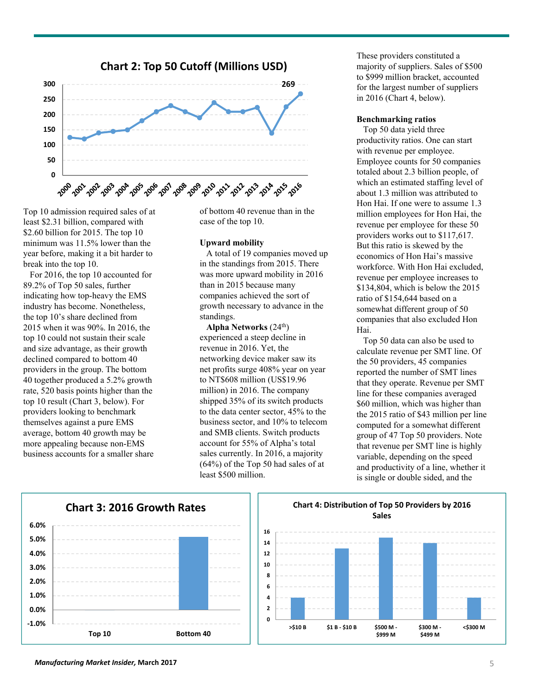

Top 10 admission required sales of at least \$2.31 billion, compared with \$2.60 billion for 2015. The top 10 minimum was 11.5% lower than the year before, making it a bit harder to break into the top 10.

For 2016, the top 10 accounted for 89.2% of Top 50 sales, further indicating how top-heavy the EMS industry has become. Nonetheless, the top 10's share declined from 2015 when it was 90%. In 2016, the top 10 could not sustain their scale and size advantage, as their growth declined compared to bottom 40 providers in the group. The bottom 40 together produced a 5.2% growth rate, 520 basis points higher than the top 10 result (Chart 3, below). For providers looking to benchmark themselves against a pure EMS average, bottom 40 growth may be more appealing because non-EMS business accounts for a smaller share of bottom 40 revenue than in the case of the top 10.

#### **Upward mobility**

A total of 19 companies moved up in the standings from 2015. There was more upward mobility in 2016 than in 2015 because many companies achieved the sort of growth necessary to advance in the standings.

**Alpha Networks** (24th) experienced a steep decline in revenue in 2016. Yet, the networking device maker saw its net profits surge 408% year on year to NT\$608 million (US\$19.96 million) in 2016. The company shipped 35% of its switch products to the data center sector, 45% to the business sector, and 10% to telecom and SMB clients. Switch products account for 55% of Alpha's total sales currently. In 2016, a majority (64%) of the Top 50 had sales of at least \$500 million.

These providers constituted a majority of suppliers. Sales of \$500 to \$999 million bracket, accounted for the largest number of suppliers in 2016 (Chart 4, below).

#### **Benchmarking ratios**

Top 50 data yield three productivity ratios. One can start with revenue per employee. Employee counts for 50 companies totaled about 2.3 billion people, of which an estimated staffing level of about 1.3 million was attributed to Hon Hai. If one were to assume 1.3 million employees for Hon Hai, the revenue per employee for these 50 providers works out to \$117,617. But this ratio is skewed by the economics of Hon Hai's massive workforce. With Hon Hai excluded, revenue per employee increases to \$134,804, which is below the 2015 ratio of \$154,644 based on a somewhat different group of 50 companies that also excluded Hon Hai.

Top 50 data can also be used to calculate revenue per SMT line. Of the 50 providers, 45 companies reported the number of SMT lines that they operate. Revenue per SMT line for these companies averaged \$60 million, which was higher than the 2015 ratio of \$43 million per line computed for a somewhat different group of 47 Top 50 providers. Note that revenue per SMT line is highly variable, depending on the speed and productivity of a line, whether it is single or double sided, and the



#### **Chart 4: Distribution of Top 50 Providers by 2016 Sales**

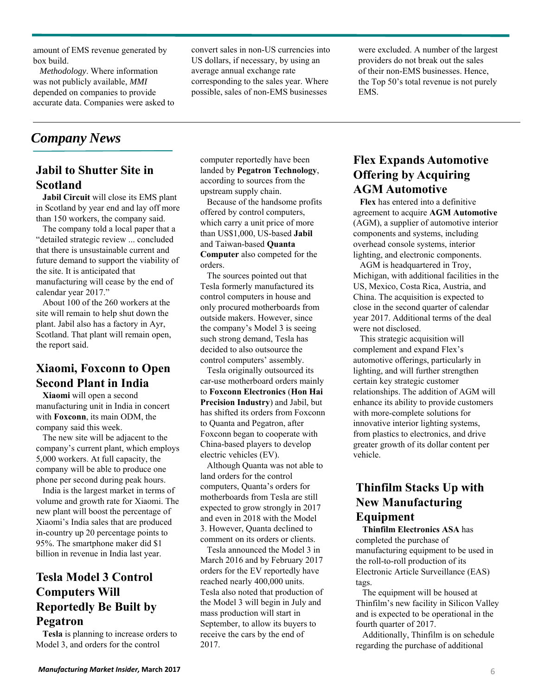amount of EMS revenue generated by box build.

*Methodology*. Where information was not publicly available, *MMI* depended on companies to provide accurate data. Companies were asked to convert sales in non-US currencies into US dollars, if necessary, by using an average annual exchange rate corresponding to the sales year. Where possible, sales of non-EMS businesses

were excluded. A number of the largest providers do not break out the sales of their non-EMS businesses. Hence, the Top 50's total revenue is not purely EMS.

# *Company News*

## **Jabil to Shutter Site in Scotland**

**Jabil Circuit** will close its EMS plant in Scotland by year end and lay off more than 150 workers, the company said.

The company told a local paper that a "detailed strategic review ... concluded that there is unsustainable current and future demand to support the viability of the site. It is anticipated that manufacturing will cease by the end of calendar year 2017."

About 100 of the 260 workers at the site will remain to help shut down the plant. Jabil also has a factory in Ayr, Scotland. That plant will remain open, the report said.

## **Xiaomi, Foxconn to Open Second Plant in India**

**Xiaomi** will open a second manufacturing unit in India in concert with **Foxconn**, its main ODM, the company said this week.

The new site will be adjacent to the company's current plant, which employs 5,000 workers. At full capacity, the company will be able to produce one phone per second during peak hours.

India is the largest market in terms of volume and growth rate for Xiaomi. The new plant will boost the percentage of Xiaomi's India sales that are produced in-country up 20 percentage points to 95%. The smartphone maker did \$1 billion in revenue in India last year.

# **Tesla Model 3 Control Computers Will Reportedly Be Built by Pegatron**

**Tesla** is planning to increase orders to Model 3, and orders for the control

computer reportedly have been landed by **Pegatron Technology**, according to sources from the upstream supply chain.

Because of the handsome profits offered by control computers, which carry a unit price of more than US\$1,000, US-based **Jabil** and Taiwan-based **Quanta Computer** also competed for the orders.

The sources pointed out that Tesla formerly manufactured its control computers in house and only procured motherboards from outside makers. However, since the company's Model 3 is seeing such strong demand, Tesla has decided to also outsource the control computers' assembly.

Tesla originally outsourced its car-use motherboard orders mainly to **Foxconn Electronics** (**Hon Hai Precision Industry**) and Jabil, but has shifted its orders from Foxconn to Quanta and Pegatron, after Foxconn began to cooperate with China-based players to develop electric vehicles (EV).

Although Quanta was not able to land orders for the control computers, Quanta's orders for motherboards from Tesla are still expected to grow strongly in 2017 and even in 2018 with the Model 3. However, Quanta declined to comment on its orders or clients.

Tesla announced the Model 3 in March 2016 and by February 2017 orders for the EV reportedly have reached nearly 400,000 units. Tesla also noted that production of the Model 3 will begin in July and mass production will start in September, to allow its buyers to receive the cars by the end of 2017.

#### **Flex Expands Automotive Offering by Acquiring AGM Automotive**

**Flex** has entered into a definitive agreement to acquire **AGM Automotive**  (AGM), a supplier of automotive interior components and systems, including overhead console systems, interior lighting, and electronic components.

AGM is headquartered in Troy, Michigan, with additional facilities in the US, Mexico, Costa Rica, Austria, and China. The acquisition is expected to close in the second quarter of calendar year 2017. Additional terms of the deal were not disclosed.

This strategic acquisition will complement and expand Flex's automotive offerings, particularly in lighting, and will further strengthen certain key strategic customer relationships. The addition of AGM will enhance its ability to provide customers with more-complete solutions for innovative interior lighting systems, from plastics to electronics, and drive greater growth of its dollar content per vehicle.

## **Thinfilm Stacks Up with New Manufacturing Equipment**

**Thinfilm Electronics ASA** has completed the purchase of manufacturing equipment to be used in the roll-to-roll production of its Electronic Article Surveillance (EAS) tags.

The equipment will be housed at Thinfilm's new facility in Silicon Valley and is expected to be operational in the fourth quarter of 2017.

Additionally, Thinfilm is on schedule regarding the purchase of additional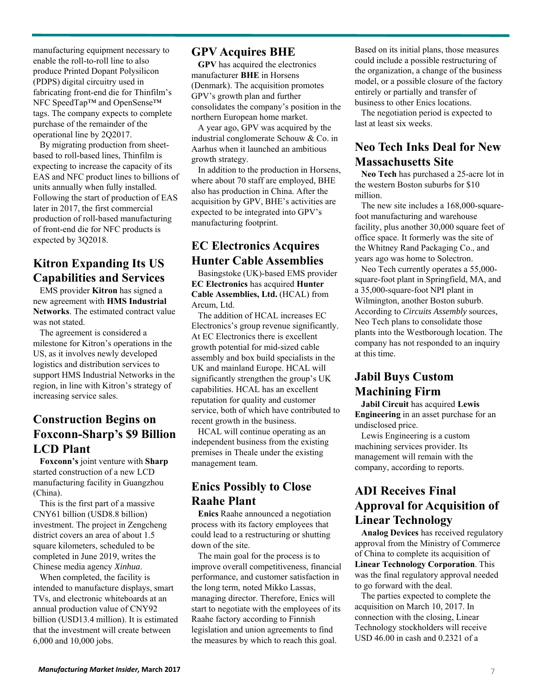manufacturing equipment necessary to enable the roll-to-roll line to also produce Printed Dopant Polysilicon (PDPS) digital circuitry used in fabricating front-end die for Thinfilm's NFC SpeedTap™ and OpenSense™ tags. The company expects to complete purchase of the remainder of the operational line by 2Q2017.

By migrating production from sheetbased to roll-based lines, Thinfilm is expecting to increase the capacity of its EAS and NFC product lines to billions of units annually when fully installed. Following the start of production of EAS later in 2017, the first commercial production of roll-based manufacturing of front-end die for NFC products is expected by 3Q2018.

## **Kitron Expanding Its US Capabilities and Services**

EMS provider **Kitron** has signed a new agreement with **HMS Industrial Networks**. The estimated contract value was not stated.

The agreement is considered a milestone for Kitron's operations in the US, as it involves newly developed logistics and distribution services to support HMS Industrial Networks in the region, in line with Kitron's strategy of increasing service sales.

#### **Construction Begins on Foxconn-Sharp's \$9 Billion LCD Plant**

**Foxconn's** joint venture with **Sharp** started construction of a new LCD manufacturing facility in Guangzhou (China).

This is the first part of a massive CNY61 billion (USD8.8 billion) investment. The project in Zengcheng district covers an area of about 1.5 square kilometers, scheduled to be completed in June 2019, writes the Chinese media agency *Xinhua*.

When completed, the facility is intended to manufacture displays, smart TVs, and electronic whiteboards at an annual production value of CNY92 billion (USD13.4 million). It is estimated that the investment will create between 6,000 and 10,000 jobs.

#### **GPV Acquires BHE**

**GPV** has acquired the electronics manufacturer **BHE** in Horsens (Denmark). The acquisition promotes GPV's growth plan and further consolidates the company's position in the northern European home market.

A year ago, GPV was acquired by the industrial conglomerate Schouw & Co. in Aarhus when it launched an ambitious growth strategy.

In addition to the production in Horsens, where about 70 staff are employed, BHE also has production in China. After the acquisition by GPV, BHE's activities are expected to be integrated into GPV's manufacturing footprint.

## **EC Electronics Acquires Hunter Cable Assemblies**

Basingstoke (UK)-based EMS provider **EC Electronics** has acquired **Hunter Cable Assemblies, Ltd.** (HCAL) from Arcum, Ltd.

The addition of HCAL increases EC Electronics's group revenue significantly. At EC Electronics there is excellent growth potential for mid-sized cable assembly and box build specialists in the UK and mainland Europe. HCAL will significantly strengthen the group's UK capabilities. HCAL has an excellent reputation for quality and customer service, both of which have contributed to recent growth in the business.

HCAL will continue operating as an independent business from the existing premises in Theale under the existing management team.

#### **Enics Possibly to Close Raahe Plant**

**Enics** Raahe announced a negotiation process with its factory employees that could lead to a restructuring or shutting down of the site.

The main goal for the process is to improve overall competitiveness, financial performance, and customer satisfaction in the long term, noted Mikko Lassas, managing director. Therefore, Enics will start to negotiate with the employees of its Raahe factory according to Finnish legislation and union agreements to find the measures by which to reach this goal.

Based on its initial plans, those measures could include a possible restructuring of the organization, a change of the business model, or a possible closure of the factory entirely or partially and transfer of business to other Enics locations.

The negotiation period is expected to last at least six weeks.

#### **Neo Tech Inks Deal for New Massachusetts Site**

**Neo Tech** has purchased a 25-acre lot in the western Boston suburbs for \$10 million.

The new site includes a 168,000-squarefoot manufacturing and warehouse facility, plus another 30,000 square feet of office space. It formerly was the site of the Whitney Rand Packaging Co., and years ago was home to Solectron.

Neo Tech currently operates a 55,000 square-foot plant in Springfield, MA, and a 35,000-square-foot NPI plant in Wilmington, another Boston suburb. According to *Circuits Assembly* sources, Neo Tech plans to consolidate those plants into the Westborough location. The company has not responded to an inquiry at this time.

#### **Jabil Buys Custom Machining Firm**

**Jabil Circuit** has acquired **Lewis Engineering** in an asset purchase for an undisclosed price.

Lewis Engineering is a custom machining services provider. Its management will remain with the company, according to reports.

## **ADI Receives Final Approval for Acquisition of Linear Technology**

**Analog Devices** has received regulatory approval from the Ministry of Commerce of China to complete its acquisition of **Linear Technology Corporation**. This was the final regulatory approval needed to go forward with the deal.

The parties expected to complete the acquisition on March 10, 2017. In connection with the closing, Linear Technology stockholders will receive USD 46.00 in cash and 0.2321 of a